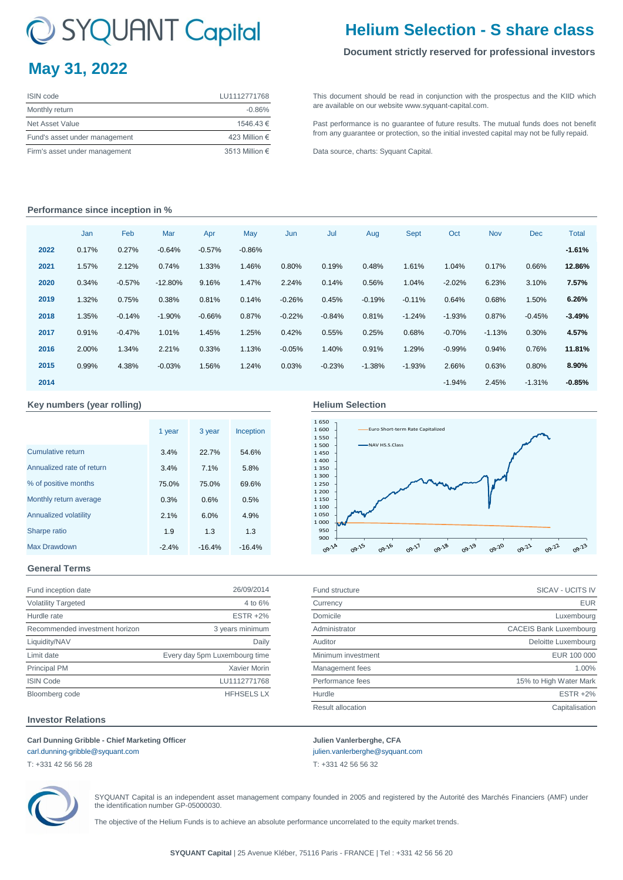# C SYQUANT Capital

# **May 31, 2022**

| <b>ISIN</b> code              | LU1112771768   |
|-------------------------------|----------------|
| Monthly return                | $-0.86%$       |
| Net Asset Value               | 1546.43 €      |
| Fund's asset under management | 423 Million €  |
| Firm's asset under management | 3513 Million € |

# **Helium Selection - S share class**

### **Document strictly reserved for professional investors**

[This](http://www.syquant-capital.fr/publications-syquant-capital.php) [document](http://www.syquant-capital.fr/publications-syquant-capital.php) [should](http://www.syquant-capital.fr/publications-syquant-capital.php) be read in [conjunction](http://www.syquant-capital.fr/publications-syquant-capital.php) with the prospectus and the KIID which [are available](http://www.syquant-capital.fr/publications-syquant-capital.php) on our website www.syquant-capital.com.

[Past](http://www.syquant-capital.fr/publications-syquant-capital.php) [performance](http://www.syquant-capital.fr/publications-syquant-capital.php) is no [guarantee](http://www.syquant-capital.fr/publications-syquant-capital.php) of future results. The mutual funds does not benefit [from any gua](http://www.syquant-capital.fr/publications-syquant-capital.php)rantee or protection, so the initial invested capital may not be fully repaid.

[Data source](http://www.syquant-capital.fr/publications-syquant-capital.php), charts: Syquant Capital.

### **Performance since inception in %**

|      | Jan   | Feb      | Mar       | Apr      | May      | Jun      | Jul      | Aug      | <b>Sept</b> | Oct      | <b>Nov</b> | <b>Dec</b> | <b>Total</b> |
|------|-------|----------|-----------|----------|----------|----------|----------|----------|-------------|----------|------------|------------|--------------|
| 2022 | 0.17% | 0.27%    | $-0.64%$  | $-0.57%$ | $-0.86%$ |          |          |          |             |          |            |            | $-1.61%$     |
| 2021 | 1.57% | 2.12%    | 0.74%     | 1.33%    | 1.46%    | 0.80%    | 0.19%    | 0.48%    | 1.61%       | 1.04%    | 0.17%      | 0.66%      | 12.86%       |
| 2020 | 0.34% | $-0.57%$ | $-12.80%$ | 9.16%    | 1.47%    | 2.24%    | 0.14%    | 0.56%    | 1.04%       | $-2.02%$ | 6.23%      | 3.10%      | 7.57%        |
| 2019 | 1.32% | 0.75%    | 0.38%     | 0.81%    | 0.14%    | $-0.26%$ | 0.45%    | $-0.19%$ | $-0.11%$    | 0.64%    | 0.68%      | 1.50%      | 6.26%        |
| 2018 | 1.35% | $-0.14%$ | $-1.90%$  | $-0.66%$ | 0.87%    | $-0.22%$ | $-0.84%$ | 0.81%    | $-1.24%$    | $-1.93%$ | 0.87%      | $-0.45%$   | $-3.49%$     |
| 2017 | 0.91% | $-0.47%$ | 1.01%     | 1.45%    | 1.25%    | 0.42%    | 0.55%    | 0.25%    | 0.68%       | $-0.70%$ | $-1.13%$   | 0.30%      | 4.57%        |
| 2016 | 2.00% | 1.34%    | 2.21%     | 0.33%    | 1.13%    | $-0.05%$ | 1.40%    | 0.91%    | 1.29%       | $-0.99%$ | 0.94%      | 0.76%      | 11.81%       |
| 2015 | 0.99% | 4.38%    | $-0.03%$  | 1.56%    | 1.24%    | 0.03%    | $-0.23%$ | $-1.38%$ | $-1.93%$    | 2.66%    | 0.63%      | 0.80%      | 8.90%        |
| 2014 |       |          |           |          |          |          |          |          |             | $-1.94%$ | 2.45%      | $-1.31%$   | $-0.85%$     |

### **Key numbers (year rolling)**

#### 3.4% 22.7% 54.6% 3.4% 7.1% 5.8% 75.0% 75.0% 69.6% 0.3% 0.6% 0.5% 2.1% 6.0% 4.9% 1.9 1.3 1.3 -2.4% -16.4% -16.4% 1 year 3 year Inception Cumulative return 3 year Annualized rate of return % of positive months Monthly return average Annualized volatility Sharpe ratio Max Drawdown

### **Helium Selection**



Result allocation **Capitalisation** Capitalisation

### **General Terms**

| Fund inception date            | 26/09/2014                    | <b>Fund structure</b> | SICAV - UCITS IV              |
|--------------------------------|-------------------------------|-----------------------|-------------------------------|
| <b>Volatility Targeted</b>     | 4 to 6%                       | Currency              | <b>EUR</b>                    |
| Hurdle rate                    | <b>ESTR +2%</b>               | Domicile              | Luxembourg                    |
| Recommended investment horizon | 3 years minimum               | Administrator         | <b>CACEIS Bank Luxembourg</b> |
| Liquidity/NAV                  | Daily                         | Auditor               | Deloitte Luxembourg           |
| Limit date                     | Every day 5pm Luxembourg time | Minimum investment    | EUR 100 000                   |
| Principal PM                   | Xavier Morin                  | Management fees       | 1.00%                         |
| <b>ISIN Code</b>               | LU1112771768                  | Performance fees      | 15% to High Water Mark        |
| Bloomberg code                 | <b>HFHSELS LX</b>             | Hurdle                | <b>ESTR +2%</b>               |

### **Investor Relations**

### **Carl Dunning Gribble - Chief Marketing Officer Julien Vanlerberghe, CFA**

[carl.dunning-gribble@syquant.com](mailto:carl.dunning-gribble@syquant.com) [julien.vanlerberghe@syquant.com](mailto:julien.vanlerberghe@syquant.com) 

T: +331 42 56 56 28 T: +331 42 56 56 32



SYQUANT Capital is an independent asset management company founded in 2005 and registered by the Autorité des Marchés Financiers (AMF) under the identification number GP-05000030.

The objective of the Helium Funds is to achieve an absolute performance uncorrelated to the equity market trends.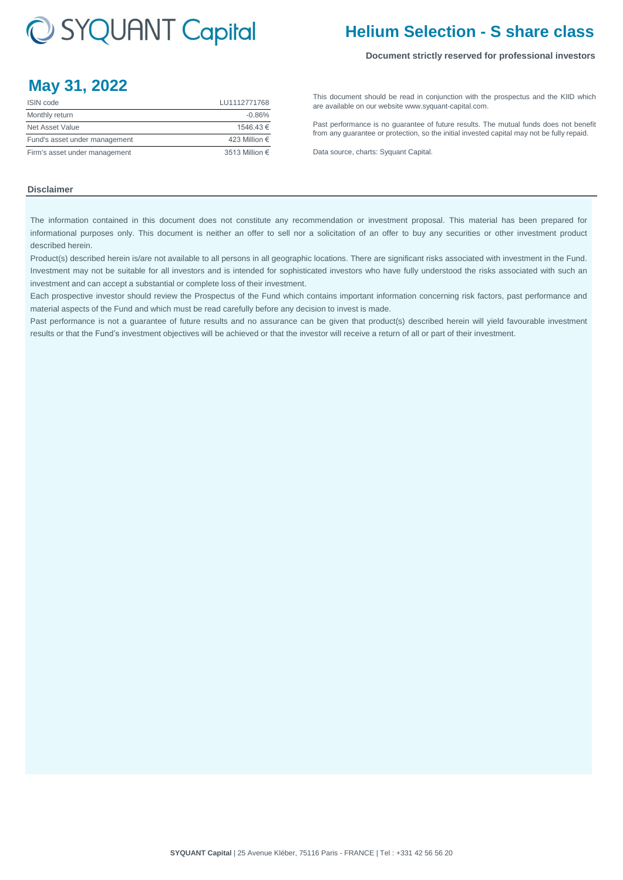# C SYQUANT Capital

## **Helium Selection - S share class**

### **Document strictly reserved for professional investors**

## **May 31, 2022**

| <b>ISIN</b> code              | LU1112771768   |
|-------------------------------|----------------|
| Monthly return                | $-0.86%$       |
| Net Asset Value               | 1546.43 €      |
| Fund's asset under management | 423 Million €  |
| Firm's asset under management | 3513 Million € |

[This](http://www.syquant-capital.fr/publications-syquant-capital.php) [document](http://www.syquant-capital.fr/publications-syquant-capital.php) [should](http://www.syquant-capital.fr/publications-syquant-capital.php) be read in [conjunction](http://www.syquant-capital.fr/publications-syquant-capital.php) with the prospectus and the KIID which [are available](http://www.syquant-capital.fr/publications-syquant-capital.php) on our website www.syquant-capital.com.

[Past](http://www.syquant-capital.fr/publications-syquant-capital.php) [performance](http://www.syquant-capital.fr/publications-syquant-capital.php) is no [guarantee](http://www.syquant-capital.fr/publications-syquant-capital.php) of future results. The mutual funds does not benefit [from any gua](http://www.syquant-capital.fr/publications-syquant-capital.php)rantee or protection, so the initial invested capital may not be fully repaid.

[Data source](http://www.syquant-capital.fr/publications-syquant-capital.php), charts: Syquant Capital.

### **Disclaimer**

The information contained in this document does not constitute any recommendation or investment proposal. This material has been prepared for informational purposes only. This document is neither an offer to sell nor a solicitation of an offer to buy any securities or other investment product described herein.

Product(s) described herein is/are not available to all persons in all geographic locations. There are significant risks associated with investment in the Fund. Investment may not be suitable for all investors and is intended for sophisticated investors who have fully understood the risks associated with such an investment and can accept a substantial or complete loss of their investment.

Each prospective investor should review the Prospectus of the Fund which contains important information concerning risk factors, past performance and material aspects of the Fund and which must be read carefully before any decision to invest is made.

Past performance is not a guarantee of future results and no assurance can be given that product(s) described herein will yield favourable investment results or that the Fund's investment objectives will be achieved or that the investor will receive a return of all or part of their investment.